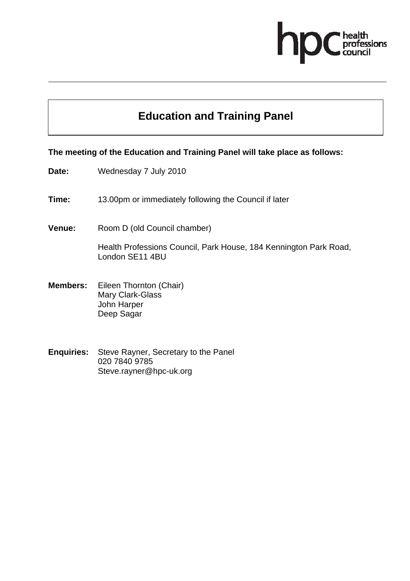

# **Education and Training Panel**

## **The meeting of the Education and Training Panel will take place as follows:**

**Date:** Wednesday 7 July 2010

**Time:** 13.00pm or immediately following the Council if later

**Venue:** Room D (old Council chamber)

Health Professions Council, Park House, 184 Kennington Park Road, London SE11 4BU

- **Members:** Eileen Thornton (Chair) Mary Clark-Glass John Harper Deep Sagar
- **Enquiries:** Steve Rayner, Secretary to the Panel 020 7840 9785 Steve.rayner@hpc-uk.org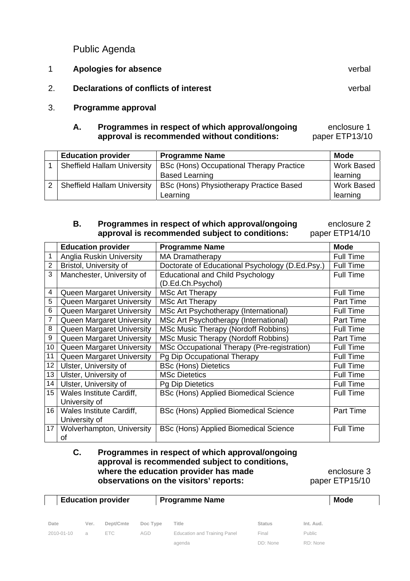Public Agenda

|    | Apologies for absence                 | verbal |
|----|---------------------------------------|--------|
| 2. | Declarations of conflicts of interest | verbal |
| 3. | Programme approval                    |        |

## **A.** Programmes in respect of which approval/ongoing enclosure 1 **approval is recommended without conditions:** paper ETP13/10

| <b>Education provider</b>          | <b>Programme Name</b>                           | Mode              |
|------------------------------------|-------------------------------------------------|-------------------|
| <b>Sheffield Hallam University</b> | <b>BSc (Hons) Occupational Therapy Practice</b> | <b>Work Based</b> |
|                                    | <b>Based Learning</b>                           | learning          |
| <b>Sheffield Hallam University</b> | BSc (Hons) Physiotherapy Practice Based         | <b>Work Based</b> |
|                                    | Learning                                        | learning          |

# **B.** Programmes in respect of which approval/ongoing enclosure 2 **approval is recommended subject to conditions:** paper ETP14/10

|                 | <b>Education provider</b>        | <b>Programme Name</b>                           | <b>Mode</b>      |
|-----------------|----------------------------------|-------------------------------------------------|------------------|
|                 | <b>Anglia Ruskin University</b>  | <b>MA Dramatherapy</b>                          | <b>Full Time</b> |
| $\overline{2}$  | Bristol, University of           | Doctorate of Educational Psychology (D.Ed.Psy.) | <b>Full Time</b> |
| 3               | Manchester, University of        | <b>Educational and Child Psychology</b>         | <b>Full Time</b> |
|                 |                                  | (D.Ed.Ch.Psychol)                               |                  |
| 4               | Queen Margaret University        | <b>MSc Art Therapy</b>                          | <b>Full Time</b> |
| 5               | Queen Margaret University        | <b>MSc Art Therapy</b>                          | Part Time        |
| 6               | <b>Queen Margaret University</b> | MSc Art Psychotherapy (International)           | <b>Full Time</b> |
| 7               | Queen Margaret University        | MSc Art Psychotherapy (International)           | Part Time        |
| 8               | Queen Margaret University        | MSc Music Therapy (Nordoff Robbins)             | <b>Full Time</b> |
| 9               | Queen Margaret University        | <b>MSc Music Therapy (Nordoff Robbins)</b>      | <b>Part Time</b> |
| 10 <sup>°</sup> | Queen Margaret University        | MSc Occupational Therapy (Pre-registration)     | <b>Full Time</b> |
| 11              | Queen Margaret University        | Pg Dip Occupational Therapy                     | <b>Full Time</b> |
| 12              | Ulster, University of            | <b>BSc (Hons) Dietetics</b>                     | <b>Full Time</b> |
| 13 <sup>°</sup> | Ulster, University of            | <b>MSc Dietetics</b>                            | <b>Full Time</b> |
| 14              | Ulster, University of            | <b>Pg Dip Dietetics</b>                         | <b>Full Time</b> |
| 15              | Wales Institute Cardiff,         | <b>BSc (Hons) Applied Biomedical Science</b>    | <b>Full Time</b> |
|                 | University of                    |                                                 |                  |
| 16              | Wales Institute Cardiff,         | <b>BSc (Hons) Applied Biomedical Science</b>    | <b>Part Time</b> |
|                 | University of                    |                                                 |                  |
| 17 <sup>1</sup> | Wolverhampton, University        | BSc (Hons) Applied Biomedical Science           | <b>Full Time</b> |
|                 | οf                               |                                                 |                  |

#### **C. Programmes in respect of which approval/ongoing approval is recommended subject to conditions, where the education provider has made enclosure 3 observations on the visitors' reports:** paper ETP15/10

| <b>Education provider</b> |      | <b>Programme Name</b> |          |                                     | <b>Mode</b>   |           |
|---------------------------|------|-----------------------|----------|-------------------------------------|---------------|-----------|
| Date                      | Ver. | Dept/Cmte             | Doc Type | Title                               | <b>Status</b> | Int. Aud. |
| 2010-01-10                | a    | <b>ETC</b>            | AGD      | <b>Education and Training Panel</b> | Final         | Public    |
|                           |      |                       |          | agenda                              | DD: None      | RD: None  |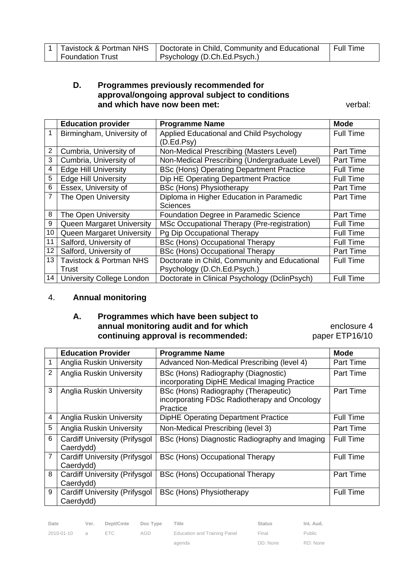|                         | 1   Tavistock & Portman NHS   Doctorate in Child, Community and Educational | Full Time |
|-------------------------|-----------------------------------------------------------------------------|-----------|
| <b>Foundation Trust</b> | Psychology (D.Ch.Ed.Psych.)                                                 |           |

## **D. Programmes previously recommended for approval/ongoing approval subject to conditions and which have now been met:** verbal:

|    | <b>Education provider</b>      | <b>Programme Name</b>                                  | <b>Mode</b>      |
|----|--------------------------------|--------------------------------------------------------|------------------|
|    | Birmingham, University of      | Applied Educational and Child Psychology<br>(D.Ed.Psy) | <b>Full Time</b> |
| 2  | Cumbria, University of         | Non-Medical Prescribing (Masters Level)                | Part Time        |
| 3  | Cumbria, University of         | Non-Medical Prescribing (Undergraduate Level)          | Part Time        |
| 4  | <b>Edge Hill University</b>    | <b>BSc (Hons) Operating Department Practice</b>        | <b>Full Time</b> |
| 5  | <b>Edge Hill University</b>    | Dip HE Operating Department Practice                   | <b>Full Time</b> |
| 6  | Essex, University of           | <b>BSc (Hons) Physiotherapy</b>                        | Part Time        |
| 7  | The Open University            | Diploma in Higher Education in Paramedic               | Part Time        |
|    |                                | <b>Sciences</b>                                        |                  |
| 8  | The Open University            | Foundation Degree in Paramedic Science                 | <b>Part Time</b> |
| 9  | Queen Margaret University      | MSc Occupational Therapy (Pre-registration)            | <b>Full Time</b> |
| 10 | Queen Margaret University      | Pg Dip Occupational Therapy                            | <b>Full Time</b> |
| 11 | Salford, University of         | <b>BSc (Hons) Occupational Therapy</b>                 | <b>Full Time</b> |
| 12 | Salford, University of         | <b>BSc (Hons) Occupational Therapy</b>                 | Part Time        |
| 13 | Tavistock & Portman NHS        | Doctorate in Child, Community and Educational          | <b>Full Time</b> |
|    | Trust                          | Psychology (D.Ch.Ed.Psych.)                            |                  |
|    | 14   University College London | Doctorate in Clinical Psychology (DclinPsych)          | <b>Full Time</b> |

## 4. **Annual monitoring**

## **A. Programmes which have been subject to annual monitoring audit and for which <b>EXACTE 10** enclosure 4 **continuing approval is recommended:** paper ETP16/10

|                | <b>Education Provider</b>                         | <b>Programme Name</b>                                                                            | <b>Mode</b>      |
|----------------|---------------------------------------------------|--------------------------------------------------------------------------------------------------|------------------|
|                | <b>Anglia Ruskin University</b>                   | Advanced Non-Medical Prescribing (level 4)                                                       | <b>Part Time</b> |
| $\overline{2}$ | <b>Anglia Ruskin University</b>                   | BSc (Hons) Radiography (Diagnostic)<br>incorporating DipHE Medical Imaging Practice              | <b>Part Time</b> |
| 3              | <b>Anglia Ruskin University</b>                   | BSc (Hons) Radiography (Therapeutic)<br>incorporating FDSc Radiotherapy and Oncology<br>Practice | <b>Part Time</b> |
| 4              | <b>Anglia Ruskin University</b>                   | <b>DipHE Operating Department Practice</b>                                                       | <b>Full Time</b> |
| 5              | <b>Anglia Ruskin University</b>                   | Non-Medical Prescribing (level 3)                                                                | <b>Part Time</b> |
| 6              | <b>Cardiff University (Prifysgol</b><br>Caerdydd) | BSc (Hons) Diagnostic Radiography and Imaging                                                    | <b>Full Time</b> |
| 7              | <b>Cardiff University (Prifysgol</b><br>Caerdydd) | <b>BSc (Hons) Occupational Therapy</b>                                                           | <b>Full Time</b> |
| 8              | <b>Cardiff University (Prifysgol</b><br>Caerdydd) | BSc (Hons) Occupational Therapy                                                                  | <b>Part Time</b> |
| 9              | <b>Cardiff University (Prifysgol</b><br>Caerdydd) | <b>BSc (Hons) Physiotherapy</b>                                                                  | Full Time        |

| Date               | Ver. Dept/Cmte Doc Type Title |     |                              | <b>Status</b> | Int. Aud. |
|--------------------|-------------------------------|-----|------------------------------|---------------|-----------|
| $2010 - 01 - 10$ a | <b>ETC</b>                    | AGD | Education and Training Panel | Final         | Public    |

agenda

ETC AGD Education and Training Panel

Final DD: None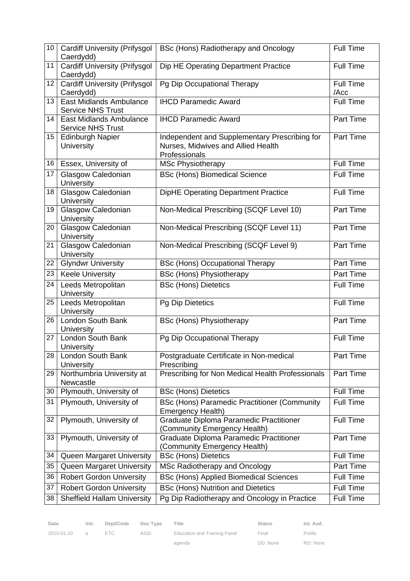| 10 <sup>1</sup> | <b>Cardiff University (Prifysgol</b><br>Caerdydd)          | BSc (Hons) Radiotherapy and Oncology                                                                 | <b>Full Time</b>         |
|-----------------|------------------------------------------------------------|------------------------------------------------------------------------------------------------------|--------------------------|
| 11              | <b>Cardiff University (Prifysgol</b><br>Caerdydd)          | Dip HE Operating Department Practice                                                                 | <b>Full Time</b>         |
| 12              | <b>Cardiff University (Prifysgol</b><br>Caerdydd)          | Pg Dip Occupational Therapy                                                                          | <b>Full Time</b><br>/Acc |
| 13              | East Midlands Ambulance<br><b>Service NHS Trust</b>        | <b>IHCD Paramedic Award</b>                                                                          | <b>Full Time</b>         |
| 14              | <b>East Midlands Ambulance</b><br><b>Service NHS Trust</b> | <b>IHCD Paramedic Award</b>                                                                          | Part Time                |
| 15 <sub>1</sub> | <b>Edinburgh Napier</b><br>University                      | Independent and Supplementary Prescribing for<br>Nurses, Midwives and Allied Health<br>Professionals | <b>Part Time</b>         |
| 16              | Essex, University of                                       | <b>MSc Physiotherapy</b>                                                                             | <b>Full Time</b>         |
| 17              | Glasgow Caledonian<br>University                           | <b>BSc (Hons) Biomedical Science</b>                                                                 | Full Time                |
| 18              | Glasgow Caledonian<br>University                           | <b>DipHE Operating Department Practice</b>                                                           | Full Time                |
| 19              | Glasgow Caledonian<br><b>University</b>                    | Non-Medical Prescribing (SCQF Level 10)                                                              | Part Time                |
| 20              | Glasgow Caledonian<br>University                           | Non-Medical Prescribing (SCQF Level 11)                                                              | Part Time                |
| 21              | Glasgow Caledonian<br>University                           | Non-Medical Prescribing (SCQF Level 9)                                                               | Part Time                |
| 22              | <b>Glyndwr University</b>                                  | <b>BSc (Hons) Occupational Therapy</b>                                                               | Part Time                |
| 23              | <b>Keele University</b>                                    | <b>BSc (Hons) Physiotherapy</b>                                                                      | Part Time                |
| 24              | Leeds Metropolitan<br>University                           | <b>BSc (Hons) Dietetics</b>                                                                          | <b>Full Time</b>         |
| 25              | Leeds Metropolitan<br>University                           | <b>Pg Dip Dietetics</b>                                                                              | <b>Full Time</b>         |
| 26              | London South Bank<br>University                            | <b>BSc (Hons) Physiotherapy</b>                                                                      | Part Time                |
| 27              | London South Bank<br>University                            | Pg Dip Occupational Therapy                                                                          | Full Time                |
| 28              | London South Bank<br>University                            | Postgraduate Certificate in Non-medical<br>Prescribing                                               | Part Time                |
| 29              | Northumbria University at<br>Newcastle                     | Prescribing for Non Medical Health Professionals                                                     | Part Time                |
| 30              | Plymouth, University of                                    | <b>BSc (Hons) Dietetics</b>                                                                          | <b>Full Time</b>         |
| 31              | Plymouth, University of                                    | <b>BSc (Hons) Paramedic Practitioner (Community</b><br>Emergency Health)                             | <b>Full Time</b>         |
| 32              | Plymouth, University of                                    | Graduate Diploma Paramedic Practitioner<br>(Community Emergency Health)                              | <b>Full Time</b>         |
| 33              | Plymouth, University of                                    | Graduate Diploma Paramedic Practitioner<br>(Community Emergency Health)                              | Part Time                |
| 34              | Queen Margaret University                                  | <b>BSc (Hons) Dietetics</b>                                                                          | Full Time                |
| 35              | Queen Margaret University                                  | MSc Radiotherapy and Oncology                                                                        | Part Time                |
| 36              | <b>Robert Gordon University</b>                            | <b>BSc (Hons) Applied Biomedical Sciences</b>                                                        | Full Time                |
| 37              | <b>Robert Gordon University</b>                            | <b>BSc (Hons) Nutrition and Dietetics</b>                                                            | <b>Full Time</b>         |
| 38              | <b>Sheffield Hallam University</b>                         | Pg Dip Radiotherapy and Oncology in Practice                                                         | Full Time                |

| ---- |            |
|------|------------|
|      |            |
|      | 2010-01-10 |

Date Ver. Dept/Cmte Doc Type Title **Status** Status Int. Aud.

2010-01-10 a ETC AGD Education and Training Panel

agenda

Final DD: None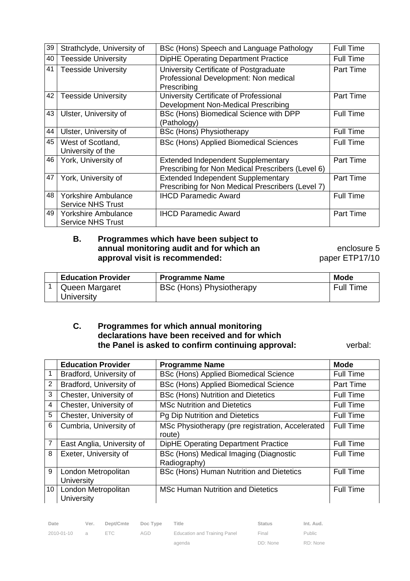| 39 | Strathclyde, University of                             | BSc (Hons) Speech and Language Pathology                                                       | <b>Full Time</b> |
|----|--------------------------------------------------------|------------------------------------------------------------------------------------------------|------------------|
| 40 | <b>Teesside University</b>                             | DipHE Operating Department Practice                                                            | <b>Full Time</b> |
| 41 | <b>Teesside University</b>                             | University Certificate of Postgraduate<br>Professional Development: Non medical<br>Prescribing | Part Time        |
| 42 | <b>Teesside University</b>                             | University Certificate of Professional<br>Development Non-Medical Prescribing                  | <b>Part Time</b> |
| 43 | Ulster, University of                                  | BSc (Hons) Biomedical Science with DPP<br>(Pathology)                                          | <b>Full Time</b> |
| 44 | Ulster, University of                                  | <b>BSc (Hons) Physiotherapy</b>                                                                | <b>Full Time</b> |
| 45 | West of Scotland,<br>University of the                 | <b>BSc (Hons) Applied Biomedical Sciences</b>                                                  | <b>Full Time</b> |
| 46 | York, University of                                    | <b>Extended Independent Supplementary</b><br>Prescribing for Non Medical Prescribers (Level 6) | <b>Part Time</b> |
| 47 | York, University of                                    | Extended Independent Supplementary<br>Prescribing for Non Medical Prescribers (Level 7)        | <b>Part Time</b> |
| 48 | <b>Yorkshire Ambulance</b><br><b>Service NHS Trust</b> | <b>IHCD Paramedic Award</b>                                                                    | <b>Full Time</b> |
| 49 | <b>Yorkshire Ambulance</b><br><b>Service NHS Trust</b> | <b>IHCD Paramedic Award</b>                                                                    | <b>Part Time</b> |

#### **B. Programmes which have been subject to annual monitoring audit and for which an** *enclosure* **5 approval visit is recommended:** Paper ETP17/10

| <b>Education Provider</b> | <b>Programme Name</b>           | <b>Mode</b>      |
|---------------------------|---------------------------------|------------------|
| Queen Margaret            | <b>BSc (Hons) Physiotherapy</b> | <b>Full Time</b> |
| University                |                                 |                  |

#### **C. Programmes for which annual monitoring declarations have been received and for which the Panel is asked to confirm continuing approval:** verbal:

|    | <b>Education Provider</b>                | <b>Programme Name</b>                                      | <b>Mode</b>      |
|----|------------------------------------------|------------------------------------------------------------|------------------|
|    | Bradford, University of                  | <b>BSc (Hons) Applied Biomedical Science</b>               | <b>Full Time</b> |
| 2  | Bradford, University of                  | BSc (Hons) Applied Biomedical Science                      | <b>Part Time</b> |
| 3  | Chester, University of                   | <b>BSc (Hons) Nutrition and Dietetics</b>                  | <b>Full Time</b> |
| 4  | Chester, University of                   | <b>MSc Nutrition and Dietetics</b>                         | <b>Full Time</b> |
| 5  | Chester, University of                   | Pg Dip Nutrition and Dietetics                             | <b>Full Time</b> |
| 6  | Cumbria, University of                   | MSc Physiotherapy (pre registration, Accelerated<br>route) | <b>Full Time</b> |
| 7  | East Anglia, University of               | <b>DipHE Operating Department Practice</b>                 | <b>Full Time</b> |
| 8  | Exeter, University of                    | BSc (Hons) Medical Imaging (Diagnostic<br>Radiography)     | <b>Full Time</b> |
| 9  | London Metropolitan<br>University        | BSc (Hons) Human Nutrition and Dietetics                   | <b>Full Time</b> |
| 10 | London Metropolitan<br><b>University</b> | <b>MSc Human Nutrition and Dietetics</b>                   | <b>Full Time</b> |

| Date         | Ver. | Dept/Cmte | Doc Type | Title                        | <b>Status</b> | Int. Aud.     |
|--------------|------|-----------|----------|------------------------------|---------------|---------------|
| 2010-01-10 a |      | FTC.      | AGD      | Education and Training Panel | Final         | <b>Public</b> |
|              |      |           |          | agenda                       | DD: None      | RD: None      |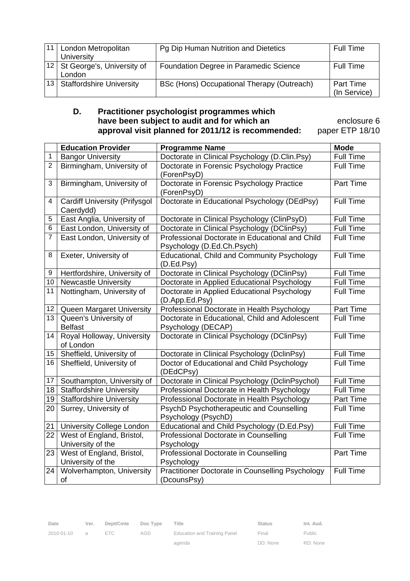| 11 <sup>1</sup> | London Metropolitan<br>University       | Pg Dip Human Nutrition and Dietetics       | <b>Full Time</b>                 |
|-----------------|-----------------------------------------|--------------------------------------------|----------------------------------|
|                 | 12 St George's, University of<br>London | Foundation Degree in Paramedic Science     | <b>Full Time</b>                 |
|                 | 13 Staffordshire University             | BSc (Hons) Occupational Therapy (Outreach) | <b>Part Time</b><br>(In Service) |

#### **D. Practitioner psychologist programmes which have been subject to audit and for which an** *may* **enclosure 6 approval visit planned for 2011/12 is recommended:** paper ETP 18/10

|                 | <b>Education Provider</b>                      | <b>Programme Name</b>                                                 | <b>Mode</b>      |
|-----------------|------------------------------------------------|-----------------------------------------------------------------------|------------------|
| $\mathbf 1$     | <b>Bangor University</b>                       | Doctorate in Clinical Psychology (D.Clin.Psy)                         | Full Time        |
| $\overline{2}$  | Birmingham, University of                      | Doctorate in Forensic Psychology Practice                             | <b>Full Time</b> |
|                 |                                                | (ForenPsyD)                                                           |                  |
| 3               | Birmingham, University of                      | Doctorate in Forensic Psychology Practice                             | Part Time        |
|                 |                                                | (ForenPsyD)                                                           |                  |
| 4               | <b>Cardiff University (Prifysgol</b>           | Doctorate in Educational Psychology (DEdPsy)                          | <b>Full Time</b> |
|                 | Caerdydd)                                      |                                                                       |                  |
| 5               | East Anglia, University of                     | Doctorate in Clinical Psychology (ClinPsyD)                           | <b>Full Time</b> |
| 6               | East London, University of                     | Doctorate in Clinical Psychology (DClinPsy)                           | <b>Full Time</b> |
| 7               | East London, University of                     | Professional Doctorate in Educational and Child                       | <b>Full Time</b> |
|                 |                                                | Psychology (D.Ed.Ch.Psych)                                            |                  |
| 8               | Exeter, University of                          | Educational, Child and Community Psychology                           | <b>Full Time</b> |
| 9               | Hertfordshire, University of                   | (D.Ed.Psy)<br>Doctorate in Clinical Psychology (DClinPsy)             | <b>Full Time</b> |
| 10 <sup>°</sup> | <b>Newcastle University</b>                    | Doctorate in Applied Educational Psychology                           | <b>Full Time</b> |
| 11              | Nottingham, University of                      | Doctorate in Applied Educational Psychology                           | <b>Full Time</b> |
|                 |                                                | (D.App.Ed.Psy)                                                        |                  |
| 12 <sub>2</sub> | Queen Margaret University                      | Professional Doctorate in Health Psychology                           | Part Time        |
| 13              | Queen's University of                          | Doctorate in Educational, Child and Adolescent                        | Full Time        |
|                 | <b>Belfast</b>                                 | Psychology (DECAP)                                                    |                  |
| 14              | Royal Holloway, University                     | Doctorate in Clinical Psychology (DClinPsy)                           | Full Time        |
|                 | of London                                      |                                                                       |                  |
| 15 <sub>1</sub> | Sheffield, University of                       | Doctorate in Clinical Psychology (DclinPsy)                           | <b>Full Time</b> |
| 16              | Sheffield, University of                       | Doctor of Educational and Child Psychology                            | <b>Full Time</b> |
|                 |                                                | (DEdCPsy)                                                             |                  |
| 17              | Southampton, University of                     | Doctorate in Clinical Psychology (DclinPsychol)                       | Full Time        |
| 18              | <b>Staffordshire University</b>                | Professional Doctorate in Health Psychology                           | <b>Full Time</b> |
| 19              | <b>Staffordshire University</b>                | Professional Doctorate in Health Psychology                           | Part Time        |
| 20              | Surrey, University of                          | PsychD Psychotherapeutic and Counselling                              | <b>Full Time</b> |
|                 |                                                | Psychology (PsychD)                                                   |                  |
| 21              | <b>University College London</b>               | Educational and Child Psychology (D.Ed.Psy)                           | Full Time        |
| 22              | West of England, Bristol,                      | Professional Doctorate in Counselling                                 | <b>Full Time</b> |
|                 | University of the                              | Psychology                                                            |                  |
| 23              | West of England, Bristol,                      | Professional Doctorate in Counselling                                 | Part Time        |
| 24              | University of the<br>Wolverhampton, University | Psychology<br><b>Practitioner Doctorate in Counselling Psychology</b> | Full Time        |
|                 | of                                             | (DcounsPsy)                                                           |                  |

agenda

Final DD: None